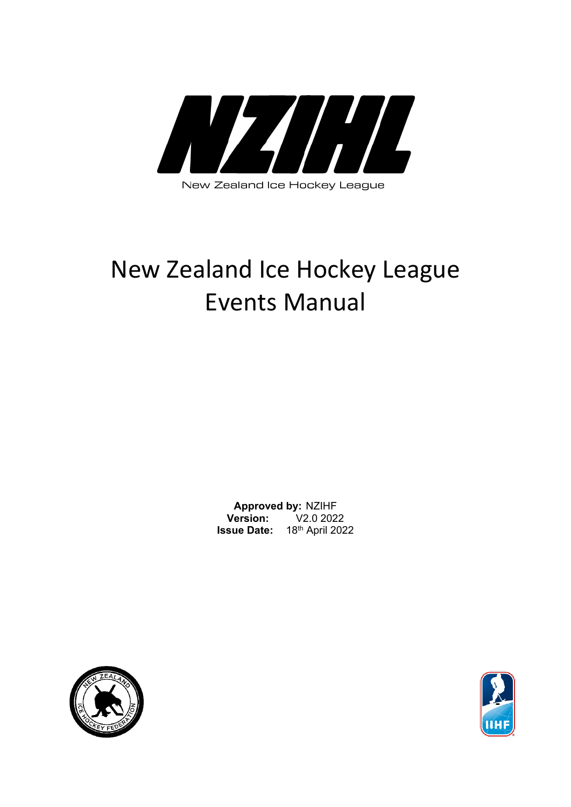

New Zealand Ice Hockey League

# New Zealand Ice Hockey League Events Manual

**Approved by: NZIHF**<br>**Papartic State V2.0 2022 Version: Issue Date:** 18th April 2022



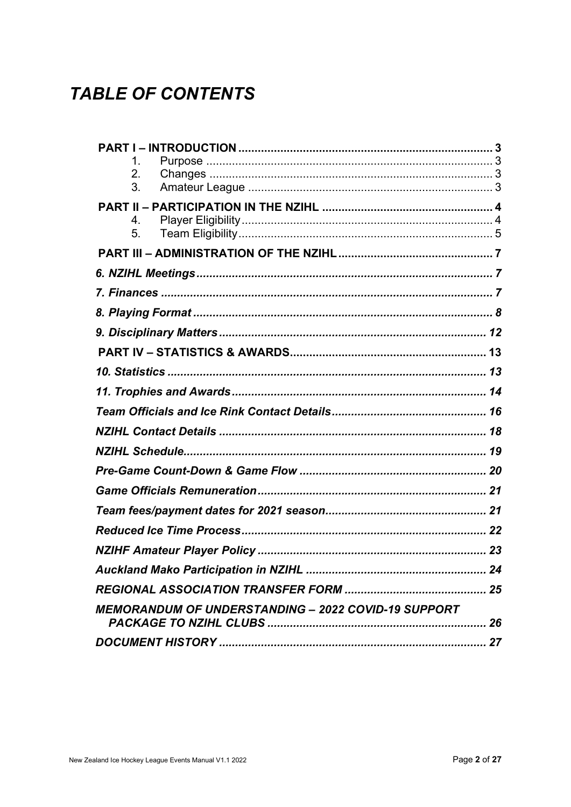# **TABLE OF CONTENTS**

| 1.                                                         |  |
|------------------------------------------------------------|--|
| 2.<br>3.                                                   |  |
|                                                            |  |
| 4.                                                         |  |
| 5.                                                         |  |
|                                                            |  |
|                                                            |  |
|                                                            |  |
|                                                            |  |
|                                                            |  |
|                                                            |  |
|                                                            |  |
|                                                            |  |
|                                                            |  |
|                                                            |  |
|                                                            |  |
|                                                            |  |
|                                                            |  |
|                                                            |  |
|                                                            |  |
|                                                            |  |
|                                                            |  |
|                                                            |  |
| <b>MEMORANDUM OF UNDERSTANDING - 2022 COVID-19 SUPPORT</b> |  |
|                                                            |  |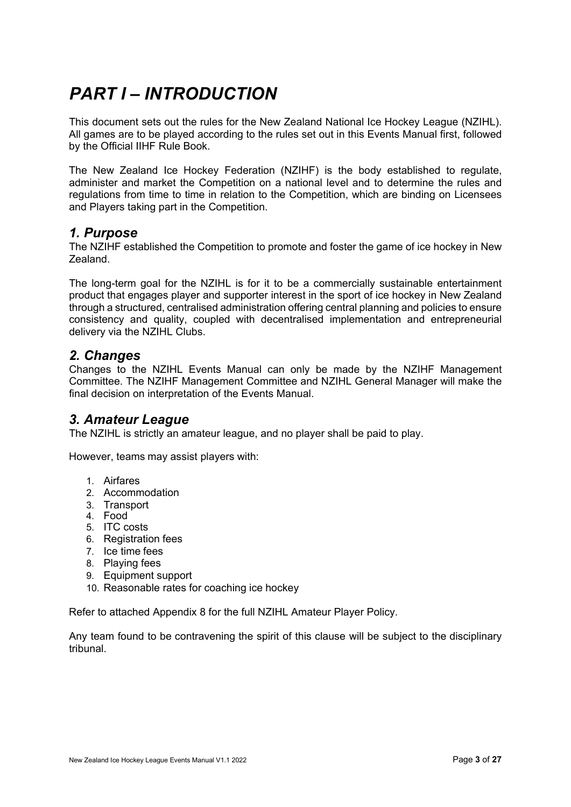# <span id="page-2-0"></span>*PART I – INTRODUCTION*

This document sets out the rules for the New Zealand National Ice Hockey League (NZIHL). All games are to be played according to the rules set out in this Events Manual first, followed by the Official IIHF Rule Book.

The New Zealand Ice Hockey Federation (NZIHF) is the body established to regulate, administer and market the Competition on a national level and to determine the rules and regulations from time to time in relation to the Competition, which are binding on Licensees and Players taking part in the Competition.

#### <span id="page-2-1"></span>*1. Purpose*

The NZIHF established the Competition to promote and foster the game of ice hockey in New Zealand.

The long-term goal for the NZIHL is for it to be a commercially sustainable entertainment product that engages player and supporter interest in the sport of ice hockey in New Zealand through a structured, centralised administration offering central planning and policies to ensure consistency and quality, coupled with decentralised implementation and entrepreneurial delivery via the NZIHL Clubs.

#### <span id="page-2-2"></span>*2. Changes*

Changes to the NZIHL Events Manual can only be made by the NZIHF Management Committee. The NZIHF Management Committee and NZIHL General Manager will make the final decision on interpretation of the Events Manual.

#### <span id="page-2-3"></span>*3. Amateur League*

The NZIHL is strictly an amateur league, and no player shall be paid to play.

However, teams may assist players with:

- 1. Airfares
- 2. Accommodation
- 3. Transport
- 4. Food
- 5. ITC costs
- 6. Registration fees
- 7. Ice time fees
- 8. Playing fees
- 9. Equipment support
- 10. Reasonable rates for coaching ice hockey

Refer to attached Appendix 8 for the full NZIHL Amateur Player Policy.

Any team found to be contravening the spirit of this clause will be subject to the disciplinary tribunal.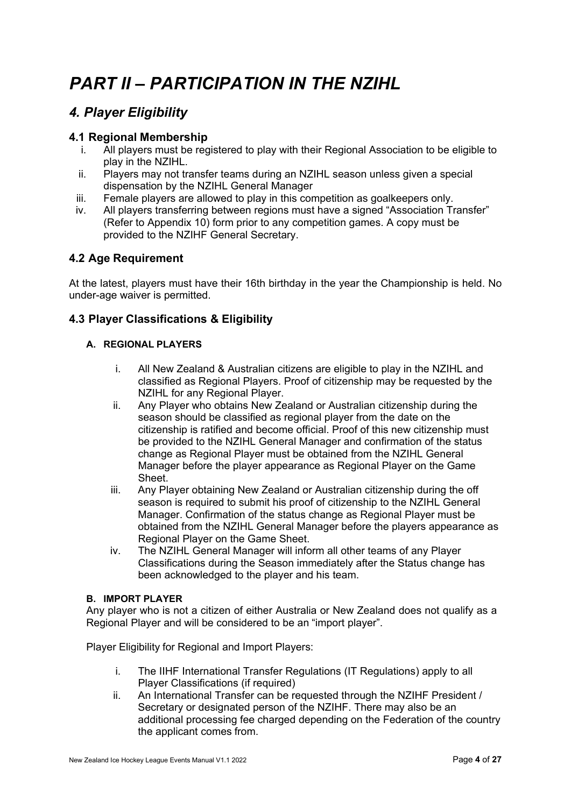# <span id="page-3-0"></span>*PART II – PARTICIPATION IN THE NZIHL*

### <span id="page-3-1"></span>*4. Player Eligibility*

#### **4.1 Regional Membership**

- i. All players must be registered to play with their Regional Association to be eligible to play in the NZIHL.
- ii. Players may not transfer teams during an NZIHL season unless given a special dispensation by the NZIHL General Manager
- iii. Female players are allowed to play in this competition as goalkeepers only.
- iv. All players transferring between regions must have a signed "Association Transfer" (Refer to Appendix 10) form prior to any competition games. A copy must be provided to the NZIHF General Secretary.

#### **4.2 Age Requirement**

At the latest, players must have their 16th birthday in the year the Championship is held. No under-age waiver is permitted.

#### **4.3 Player Classifications & Eligibility**

#### **A. REGIONAL PLAYERS**

- i. All New Zealand & Australian citizens are eligible to play in the NZIHL and classified as Regional Players. Proof of citizenship may be requested by the NZIHL for any Regional Player.
- ii. Any Player who obtains New Zealand or Australian citizenship during the season should be classified as regional player from the date on the citizenship is ratified and become official. Proof of this new citizenship must be provided to the NZIHL General Manager and confirmation of the status change as Regional Player must be obtained from the NZIHL General Manager before the player appearance as Regional Player on the Game Sheet.
- iii. Any Player obtaining New Zealand or Australian citizenship during the off season is required to submit his proof of citizenship to the NZIHL General Manager. Confirmation of the status change as Regional Player must be obtained from the NZIHL General Manager before the players appearance as Regional Player on the Game Sheet.
- iv. The NZIHL General Manager will inform all other teams of any Player Classifications during the Season immediately after the Status change has been acknowledged to the player and his team.

#### **B. IMPORT PLAYER**

Any player who is not a citizen of either Australia or New Zealand does not qualify as a Regional Player and will be considered to be an "import player".

Player Eligibility for Regional and Import Players:

- i. The IIHF International Transfer Regulations (IT Regulations) apply to all Player Classifications (if required)
- ii. An International Transfer can be requested through the NZIHF President / Secretary or designated person of the NZIHF. There may also be an additional processing fee charged depending on the Federation of the country the applicant comes from.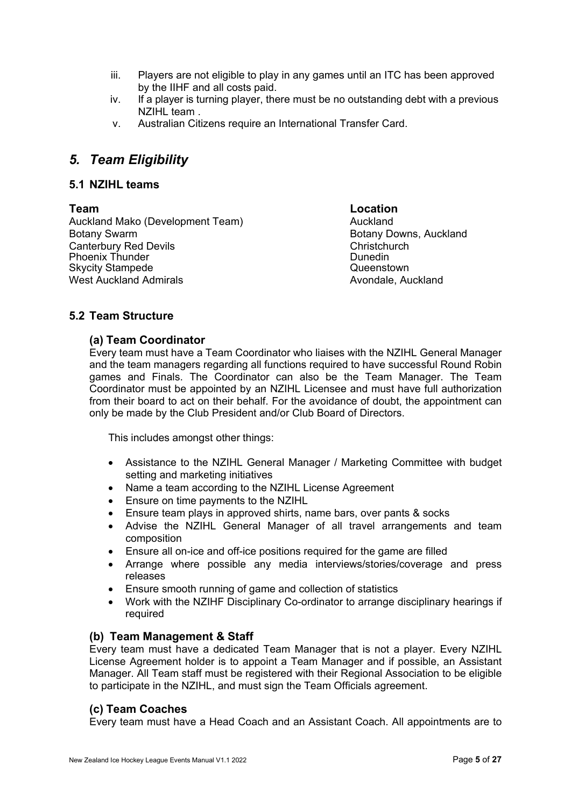- iii. Players are not eligible to play in any games until an ITC has been approved by the IIHF and all costs paid.
- iv. If a player is turning player, there must be no outstanding debt with a previous NZIHL team .
- v. Australian Citizens require an International Transfer Card.

#### <span id="page-4-0"></span>*5. Team Eligibility*

#### **5.1 NZIHL teams**

Auckland Mako (Development Team) Muckland Botany Swarm Botany Downs, Auckland Canterbury Red Devils Christchurch Phoenix Thunder<br>Skycity Stampede Skycity Stampede Skycity Stampede West Auckland Admirals **Auckland Admirals** Avondale, Auckland

**Team Location**

#### **5.2 Team Structure**

#### **(a) Team Coordinator**

Every team must have a Team Coordinator who liaises with the NZIHL General Manager and the team managers regarding all functions required to have successful Round Robin games and Finals. The Coordinator can also be the Team Manager. The Team Coordinator must be appointed by an NZIHL Licensee and must have full authorization from their board to act on their behalf. For the avoidance of doubt, the appointment can only be made by the Club President and/or Club Board of Directors.

This includes amongst other things:

- Assistance to the NZIHL General Manager / Marketing Committee with budget setting and marketing initiatives
- Name a team according to the NZIHL License Agreement
- Ensure on time payments to the NZIHL
- Ensure team plays in approved shirts, name bars, over pants & socks
- Advise the NZIHL General Manager of all travel arrangements and team composition
- Ensure all on-ice and off-ice positions required for the game are filled
- Arrange where possible any media interviews/stories/coverage and press releases
- Ensure smooth running of game and collection of statistics
- Work with the NZIHF Disciplinary Co-ordinator to arrange disciplinary hearings if required

#### **(b) Team Management & Staff**

Every team must have a dedicated Team Manager that is not a player. Every NZIHL License Agreement holder is to appoint a Team Manager and if possible, an Assistant Manager. All Team staff must be registered with their Regional Association to be eligible to participate in the NZIHL, and must sign the Team Officials agreement.

#### **(c) Team Coaches**

Every team must have a Head Coach and an Assistant Coach. All appointments are to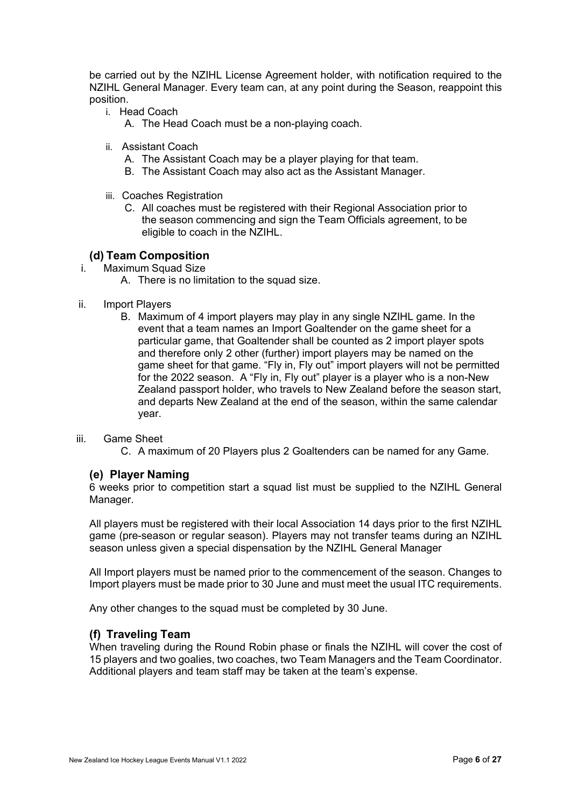be carried out by the NZIHL License Agreement holder, with notification required to the NZIHL General Manager. Every team can, at any point during the Season, reappoint this position.

- i. Head Coach
	- A. The Head Coach must be a non-playing coach.
- ii. Assistant Coach
	- A. The Assistant Coach may be a player playing for that team.
	- B. The Assistant Coach may also act as the Assistant Manager.
- iii. Coaches Registration
	- C. All coaches must be registered with their Regional Association prior to the season commencing and sign the Team Officials agreement, to be eligible to coach in the NZIHL.

#### **(d) Team Composition**

- i. Maximum Squad Size
	- A. There is no limitation to the squad size.
- ii. Import Players
	- B. Maximum of 4 import players may play in any single NZIHL game. In the event that a team names an Import Goaltender on the game sheet for a particular game, that Goaltender shall be counted as 2 import player spots and therefore only 2 other (further) import players may be named on the game sheet for that game. "Fly in, Fly out" import players will not be permitted for the 2022 season. A "Fly in, Fly out" player is a player who is a non-New Zealand passport holder, who travels to New Zealand before the season start, and departs New Zealand at the end of the season, within the same calendar year.

#### iii. Game Sheet

C. A maximum of 20 Players plus 2 Goaltenders can be named for any Game.

#### **(e) Player Naming**

6 weeks prior to competition start a squad list must be supplied to the NZIHL General Manager.

All players must be registered with their local Association 14 days prior to the first NZIHL game (pre-season or regular season). Players may not transfer teams during an NZIHL season unless given a special dispensation by the NZIHL General Manager

All Import players must be named prior to the commencement of the season. Changes to Import players must be made prior to 30 June and must meet the usual ITC requirements.

Any other changes to the squad must be completed by 30 June.

#### **(f) Traveling Team**

When traveling during the Round Robin phase or finals the NZIHL will cover the cost of 15 players and two goalies, two coaches, two Team Managers and the Team Coordinator. Additional players and team staff may be taken at the team's expense.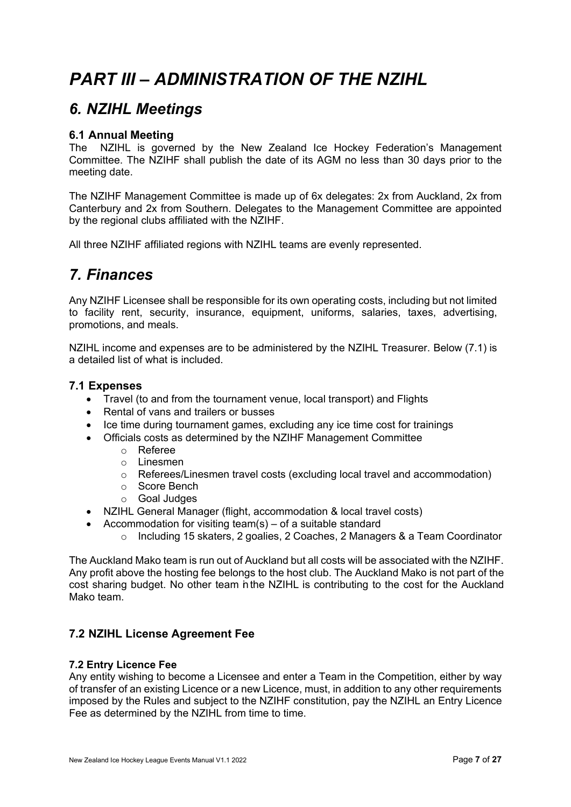# <span id="page-6-0"></span>*PART III – ADMINISTRATION OF THE NZIHL*

### <span id="page-6-1"></span>*6. NZIHL Meetings*

#### **6.1 Annual Meeting**

The NZIHL is governed by the New Zealand Ice Hockey Federation's Management Committee. The NZIHF shall publish the date of its AGM no less than 30 days prior to the meeting date.

The NZIHF Management Committee is made up of 6x delegates: 2x from Auckland, 2x from Canterbury and 2x from Southern. Delegates to the Management Committee are appointed by the regional clubs affiliated with the NZIHF.

All three NZIHF affiliated regions with NZIHL teams are evenly represented.

### <span id="page-6-2"></span>*7. Finances*

Any NZIHF Licensee shall be responsible for its own operating costs, including but not limited to facility rent, security, insurance, equipment, uniforms, salaries, taxes, advertising, promotions, and meals.

NZIHL income and expenses are to be administered by the NZIHL Treasurer. Below (7.1) is a detailed list of what is included.

#### **7.1 Expenses**

- Travel (to and from the tournament venue, local transport) and Flights
- Rental of vans and trailers or busses
- Ice time during tournament games, excluding any ice time cost for trainings
- Officials costs as determined by the NZIHF Management Committee
	- o Referee
	- o Linesmen
	- o Referees/Linesmen travel costs (excluding local travel and accommodation)
	- o Score Bench
	- o Goal Judges
- NZIHL General Manager (flight, accommodation & local travel costs)
- Accommodation for visiting team(s) of a suitable standard
	- o Including 15 skaters, 2 goalies, 2 Coaches, 2 Managers & a Team Coordinator

The Auckland Mako team is run out of Auckland but all costs will be associated with the NZIHF. Any profit above the hosting fee belongs to the host club. The Auckland Mako is not part of the cost sharing budget. No other team inthe NZIHL is contributing to the cost for the Auckland Mako team.

#### **7.2 NZIHL License Agreement Fee**

#### **7.2 Entry Licence Fee**

Any entity wishing to become a Licensee and enter a Team in the Competition, either by way of transfer of an existing Licence or a new Licence, must, in addition to any other requirements imposed by the Rules and subject to the NZIHF constitution, pay the NZIHL an Entry Licence Fee as determined by the NZIHL from time to time.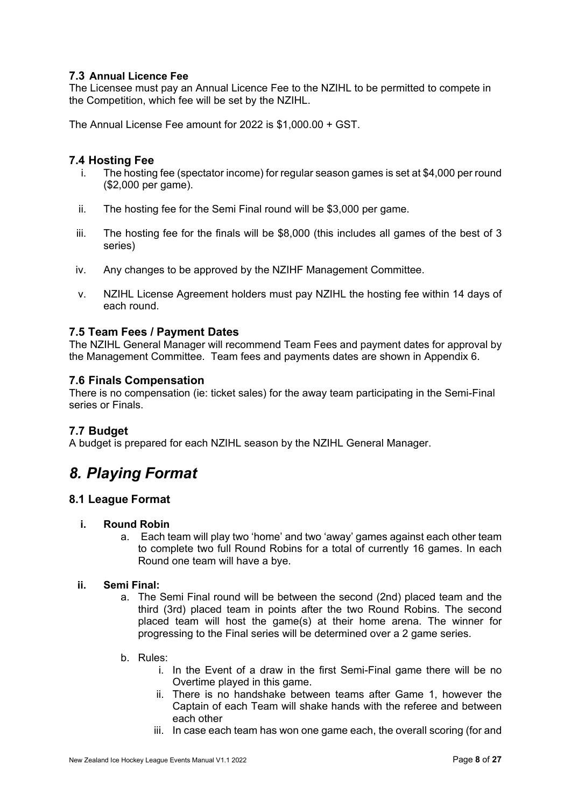#### **7.3 Annual Licence Fee**

The Licensee must pay an Annual Licence Fee to the NZIHL to be permitted to compete in the Competition, which fee will be set by the NZIHL.

The Annual License Fee amount for 2022 is \$1,000.00 + GST.

#### **7.4 Hosting Fee**

- i. The hosting fee (spectator income) for regular season games is set at \$4,000 per round (\$2,000 per game).
- ii. The hosting fee for the Semi Final round will be \$3,000 per game.
- iii. The hosting fee for the finals will be \$8,000 (this includes all games of the best of 3 series)
- iv. Any changes to be approved by the NZIHF Management Committee.
- v. NZIHL License Agreement holders must pay NZIHL the hosting fee within 14 days of each round.

#### **7.5 Team Fees / Payment Dates**

The NZIHL General Manager will recommend Team Fees and payment dates for approval by the Management Committee. Team fees and payments dates are shown in Appendix 6.

#### **7.6 Finals Compensation**

There is no compensation (ie: ticket sales) for the away team participating in the Semi-Final series or Finals.

#### **7.7 Budget**

A budget is prepared for each NZIHL season by the NZIHL General Manager.

### <span id="page-7-0"></span>*8. Playing Format*

#### **8.1 League Format**

#### **i. Round Robin**

a. Each team will play two 'home' and two 'away' games against each other team to complete two full Round Robins for a total of currently 16 games. In each Round one team will have a bye.

#### **ii. Semi Final:**

- a. The Semi Final round will be between the second (2nd) placed team and the third (3rd) placed team in points after the two Round Robins. The second placed team will host the game(s) at their home arena. The winner for progressing to the Final series will be determined over a 2 game series.
- b. Rules:
	- i. In the Event of a draw in the first Semi-Final game there will be no Overtime played in this game.
	- ii. There is no handshake between teams after Game 1, however the Captain of each Team will shake hands with the referee and between each other
	- iii. In case each team has won one game each, the overall scoring (for and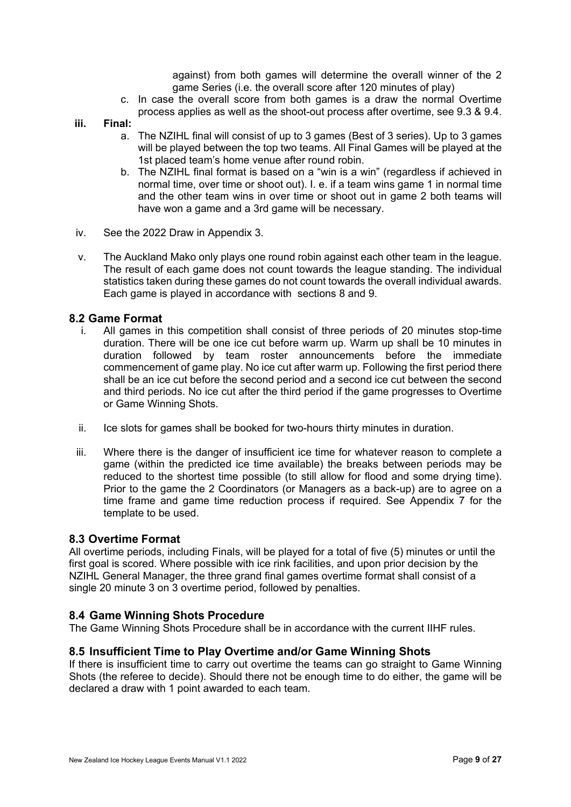against) from both games will determine the overall winner of the 2 game Series (i.e. the overall score after 120 minutes of play)

- c. In case the overall score from both games is a draw the normal Overtime process applies as well as the shoot-out process after overtime, see 9.3 & 9.4.
- **iii. Final:** 
	- a. The NZIHL final will consist of up to 3 games (Best of 3 series). Up to 3 games will be played between the top two teams. All Final Games will be played at the 1st placed team's home venue after round robin.
	- b. The NZIHL final format is based on a "win is a win" (regardless if achieved in normal time, over time or shoot out). I. e. if a team wins game 1 in normal time and the other team wins in over time or shoot out in game 2 both teams will have won a game and a 3rd game will be necessary.
- iv. See the 2022 Draw in Appendix 3.
- v. The Auckland Mako only plays one round robin against each other team in the league. The result of each game does not count towards the league standing. The individual statistics taken during these games do not count towards the overall individual awards. Each game is played in accordance with sections 8 and 9.

#### **8.2 Game Format**

- i. All games in this competition shall consist of three periods of 20 minutes stop-time duration. There will be one ice cut before warm up. Warm up shall be 10 minutes in duration followed by team roster announcements before the immediate commencement of game play. No ice cut after warm up. Following the first period there shall be an ice cut before the second period and a second ice cut between the second and third periods. No ice cut after the third period if the game progresses to Overtime or Game Winning Shots.
- ii. Ice slots for games shall be booked for two-hours thirty minutes in duration.
- iii. Where there is the danger of insufficient ice time for whatever reason to complete a game (within the predicted ice time available) the breaks between periods may be reduced to the shortest time possible (to still allow for flood and some drying time). Prior to the game the 2 Coordinators (or Managers as a back-up) are to agree on a time frame and game time reduction process if required. See Appendix 7 for the template to be used.

#### **8.3 Overtime Format**

All overtime periods, including Finals, will be played for a total of five (5) minutes or until the first goal is scored. Where possible with ice rink facilities, and upon prior decision by the NZIHL General Manager, the three grand final games overtime format shall consist of a single 20 minute 3 on 3 overtime period, followed by penalties.

#### **8.4 Game Winning Shots Procedure**

The Game Winning Shots Procedure shall be in accordance with the current IIHF rules.

#### **8.5 Insufficient Time to Play Overtime and/or Game Winning Shots**

If there is insufficient time to carry out overtime the teams can go straight to Game Winning Shots (the referee to decide). Should there not be enough time to do either, the game will be declared a draw with 1 point awarded to each team.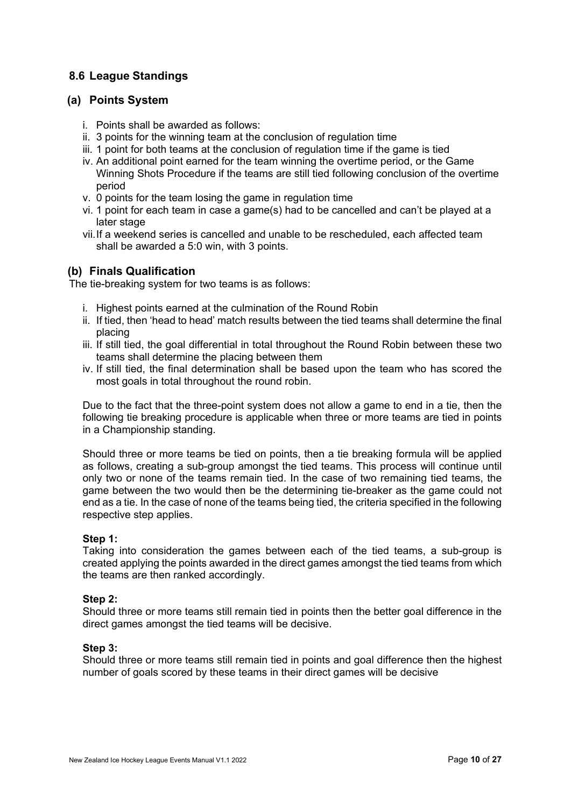#### **8.6 League Standings**

#### **(a) Points System**

- i. Points shall be awarded as follows:
- ii. 3 points for the winning team at the conclusion of regulation time
- iii. 1 point for both teams at the conclusion of regulation time if the game is tied
- iv. An additional point earned for the team winning the overtime period, or the Game Winning Shots Procedure if the teams are still tied following conclusion of the overtime period
- v. 0 points for the team losing the game in regulation time
- vi. 1 point for each team in case a game(s) had to be cancelled and can't be played at a later stage
- vii.If a weekend series is cancelled and unable to be rescheduled, each affected team shall be awarded a 5:0 win, with 3 points.

#### **(b) Finals Qualification**

The tie-breaking system for two teams is as follows:

- i. Highest points earned at the culmination of the Round Robin
- ii. If tied, then 'head to head' match results between the tied teams shall determine the final placing
- iii. If still tied, the goal differential in total throughout the Round Robin between these two teams shall determine the placing between them
- iv. If still tied, the final determination shall be based upon the team who has scored the most goals in total throughout the round robin.

Due to the fact that the three-point system does not allow a game to end in a tie, then the following tie breaking procedure is applicable when three or more teams are tied in points in a Championship standing.

Should three or more teams be tied on points, then a tie breaking formula will be applied as follows, creating a sub-group amongst the tied teams. This process will continue until only two or none of the teams remain tied. In the case of two remaining tied teams, the game between the two would then be the determining tie-breaker as the game could not end as a tie. In the case of none of the teams being tied, the criteria specified in the following respective step applies.

#### **Step 1:**

Taking into consideration the games between each of the tied teams, a sub-group is created applying the points awarded in the direct games amongst the tied teams from which the teams are then ranked accordingly.

#### **Step 2:**

Should three or more teams still remain tied in points then the better goal difference in the direct games amongst the tied teams will be decisive.

#### **Step 3:**

Should three or more teams still remain tied in points and goal difference then the highest number of goals scored by these teams in their direct games will be decisive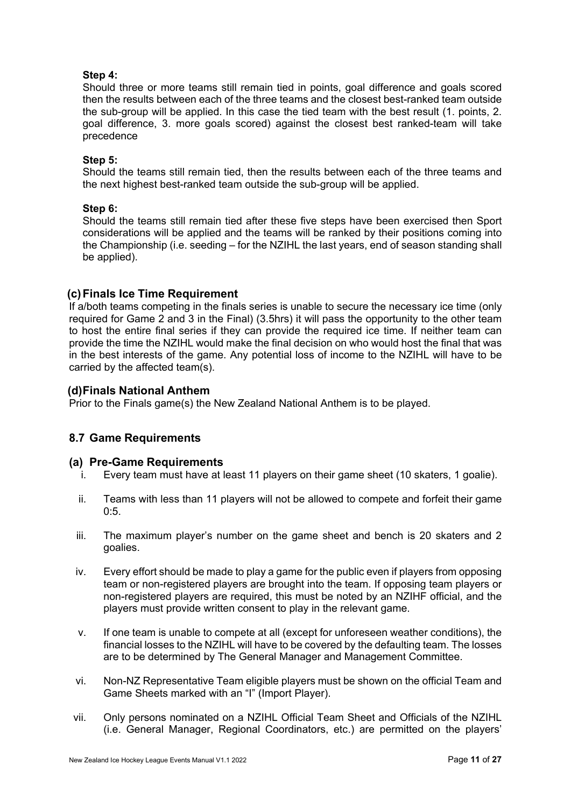#### **Step 4:**

Should three or more teams still remain tied in points, goal difference and goals scored then the results between each of the three teams and the closest best-ranked team outside the sub-group will be applied. In this case the tied team with the best result (1. points, 2. goal difference, 3. more goals scored) against the closest best ranked-team will take precedence

#### **Step 5:**

Should the teams still remain tied, then the results between each of the three teams and the next highest best-ranked team outside the sub-group will be applied.

#### **Step 6:**

Should the teams still remain tied after these five steps have been exercised then Sport considerations will be applied and the teams will be ranked by their positions coming into the Championship (i.e. seeding – for the NZIHL the last years, end of season standing shall be applied).

#### **(c)Finals Ice Time Requirement**

If a/both teams competing in the finals series is unable to secure the necessary ice time (only required for Game 2 and 3 in the Final) (3.5hrs) it will pass the opportunity to the other team to host the entire final series if they can provide the required ice time. If neither team can provide the time the NZIHL would make the final decision on who would host the final that was in the best interests of the game. Any potential loss of income to the NZIHL will have to be carried by the affected team(s).

#### **(d)Finals National Anthem**

Prior to the Finals game(s) the New Zealand National Anthem is to be played.

#### **8.7 Game Requirements**

#### **(a) Pre-Game Requirements**

- i. Every team must have at least 11 players on their game sheet (10 skaters, 1 goalie).
- ii. Teams with less than 11 players will not be allowed to compete and forfeit their game 0:5.
- iii. The maximum player's number on the game sheet and bench is 20 skaters and 2 goalies.
- iv. Every effort should be made to play a game for the public even if players from opposing team or non-registered players are brought into the team. If opposing team players or non-registered players are required, this must be noted by an NZIHF official, and the players must provide written consent to play in the relevant game.
- v. If one team is unable to compete at all (except for unforeseen weather conditions), the financial losses to the NZIHL will have to be covered by the defaulting team. The losses are to be determined by The General Manager and Management Committee.
- vi. Non-NZ Representative Team eligible players must be shown on the official Team and Game Sheets marked with an "I" (Import Player).
- vii. Only persons nominated on a NZIHL Official Team Sheet and Officials of the NZIHL (i.e. General Manager, Regional Coordinators, etc.) are permitted on the players'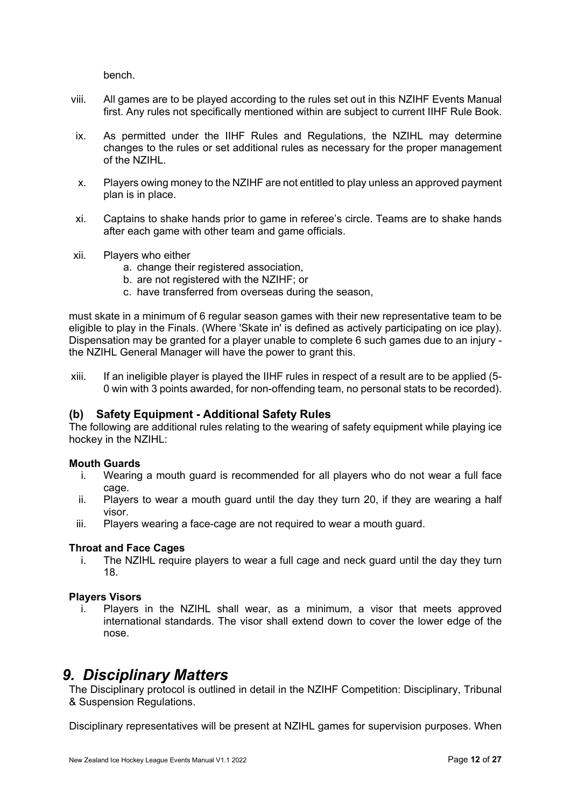bench.

- viii. All games are to be played according to the rules set out in this NZIHF Events Manual first. Any rules not specifically mentioned within are subject to current IIHF Rule Book.
- ix. As permitted under the IIHF Rules and Regulations, the NZIHL may determine changes to the rules or set additional rules as necessary for the proper management of the NZIHL.
- x. Players owing money to the NZIHF are not entitled to play unless an approved payment plan is in place.
- xi. Captains to shake hands prior to game in referee's circle. Teams are to shake hands after each game with other team and game officials.
- xii. Players who either
	- a. change their registered association,
	- b. are not registered with the NZIHF; or
	- c. have transferred from overseas during the season,

must skate in a minimum of 6 regular season games with their new representative team to be eligible to play in the Finals. (Where 'Skate in' is defined as actively participating on ice play). Dispensation may be granted for a player unable to complete 6 such games due to an injury the NZIHL General Manager will have the power to grant this.

xiii. If an ineligible player is played the IIHF rules in respect of a result are to be applied (5- 0 win with 3 points awarded, for non-offending team, no personal stats to be recorded).

#### **(b) Safety Equipment - Additional Safety Rules**

The following are additional rules relating to the wearing of safety equipment while playing ice hockey in the NZIHL:

#### **Mouth Guards**

- i. Wearing a mouth guard is recommended for all players who do not wear a full face cage.
- ii. Players to wear a mouth guard until the day they turn 20, if they are wearing a half visor.
- iii. Players wearing a face-cage are not required to wear a mouth guard.

#### **Throat and Face Cages**

i. The NZIHL require players to wear a full cage and neck guard until the day they turn 18.

#### **Players Visors**

Players in the NZIHL shall wear, as a minimum, a visor that meets approved international standards. The visor shall extend down to cover the lower edge of the nose.

### <span id="page-11-0"></span>*9. Disciplinary Matters*

The Disciplinary protocol is outlined in detail in the NZIHF Competition: Disciplinary, Tribunal & Suspension Regulations.

Disciplinary representatives will be present at NZIHL games for supervision purposes. When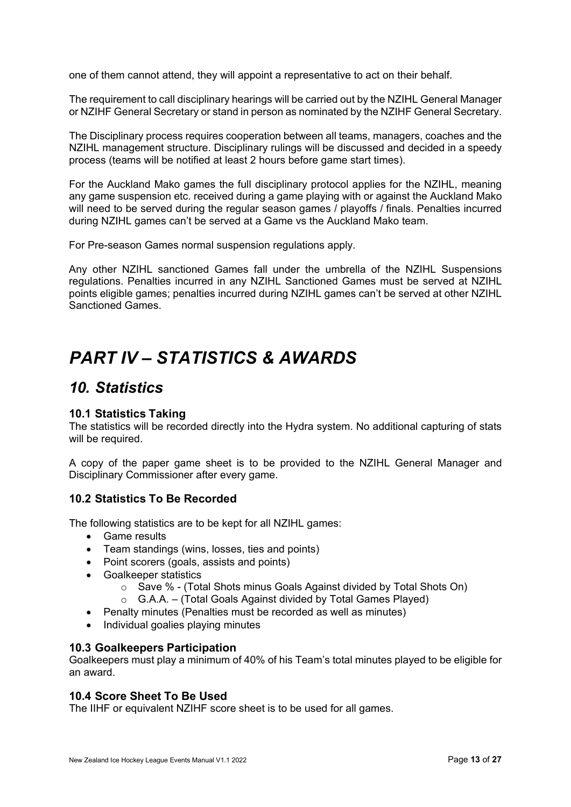one of them cannot attend, they will appoint a representative to act on their behalf.

The requirement to call disciplinary hearings will be carried out by the NZIHL General Manager or NZIHF General Secretary or stand in person as nominated by the NZIHF General Secretary.

The Disciplinary process requires cooperation between all teams, managers, coaches and the NZIHL management structure. Disciplinary rulings will be discussed and decided in a speedy process (teams will be notified at least 2 hours before game start times).

For the Auckland Mako games the full disciplinary protocol applies for the NZIHL, meaning any game suspension etc. received during a game playing with or against the Auckland Mako will need to be served during the regular season games / playoffs / finals. Penalties incurred during NZIHL games can't be served at a Game vs the Auckland Mako team.

For Pre-season Games normal suspension regulations apply.

Any other NZIHL sanctioned Games fall under the umbrella of the NZIHL Suspensions regulations. Penalties incurred in any NZIHL Sanctioned Games must be served at NZIHL points eligible games; penalties incurred during NZIHL games can't be served at other NZIHL Sanctioned Games.

## <span id="page-12-0"></span>*PART IV – STATISTICS & AWARDS*

### <span id="page-12-1"></span>*10. Statistics*

#### **10.1 Statistics Taking**

The statistics will be recorded directly into the Hydra system. No additional capturing of stats will be required.

A copy of the paper game sheet is to be provided to the NZIHL General Manager and Disciplinary Commissioner after every game.

#### **10.2 Statistics To Be Recorded**

The following statistics are to be kept for all NZIHL games:

- Game results
- Team standings (wins, losses, ties and points)
- Point scorers (goals, assists and points)
- Goalkeeper statistics
	- $\circ$  Save % (Total Shots minus Goals Against divided by Total Shots On)
	- $\circ$  G.A.A. (Total Goals Against divided by Total Games Played)
- Penalty minutes (Penalties must be recorded as well as minutes)
- Individual goalies playing minutes

#### **10.3 Goalkeepers Participation**

Goalkeepers must play a minimum of 40% of his Team's total minutes played to be eligible for an award.

#### **10.4 Score Sheet To Be Used**

The IIHF or equivalent NZIHF score sheet is to be used for all games.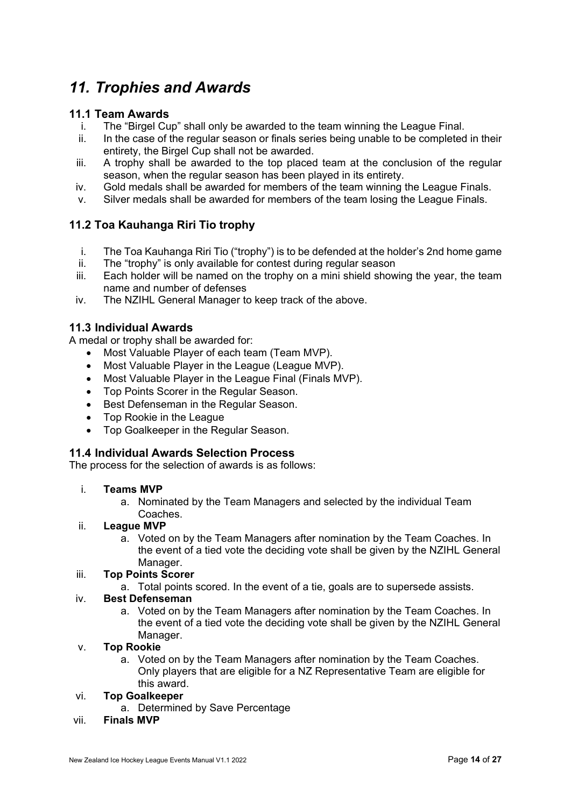### <span id="page-13-0"></span>*11. Trophies and Awards*

#### **11.1 Team Awards**

- i. The "Birgel Cup" shall only be awarded to the team winning the League Final.
- ii. In the case of the regular season or finals series being unable to be completed in their entirety, the Birgel Cup shall not be awarded.
- iii. A trophy shall be awarded to the top placed team at the conclusion of the regular season, when the regular season has been played in its entirety.
- iv. Gold medals shall be awarded for members of the team winning the League Finals.
- v. Silver medals shall be awarded for members of the team losing the League Finals.

#### **11.2 Toa Kauhanga Riri Tio trophy**

- i. The Toa Kauhanga Riri Tio ("trophy") is to be defended at the holder's 2nd home game
- ii. The "trophy" is only available for contest during regular season
- iii. Each holder will be named on the trophy on a mini shield showing the year, the team name and number of defenses
- iv. The NZIHL General Manager to keep track of the above.

#### **11.3 Individual Awards**

A medal or trophy shall be awarded for:

- Most Valuable Player of each team (Team MVP).
- Most Valuable Player in the League (League MVP).
- Most Valuable Player in the League Final (Finals MVP).
- Top Points Scorer in the Regular Season.
- Best Defenseman in the Regular Season.
- Top Rookie in the League
- Top Goalkeeper in the Regular Season.

#### **11.4 Individual Awards Selection Process**

The process for the selection of awards is as follows:

#### i. **Teams MVP**

a. Nominated by the Team Managers and selected by the individual Team Coaches.

#### ii. **League MVP**

a. Voted on by the Team Managers after nomination by the Team Coaches. In the event of a tied vote the deciding vote shall be given by the NZIHL General Manager.

#### iii. **Top Points Scorer**

a. Total points scored. In the event of a tie, goals are to supersede assists.

#### iv. **Best Defenseman**

a. Voted on by the Team Managers after nomination by the Team Coaches. In the event of a tied vote the deciding vote shall be given by the NZIHL General Manager.

#### v. **Top Rookie**

a. Voted on by the Team Managers after nomination by the Team Coaches. Only players that are eligible for a NZ Representative Team are eligible for this award.

#### vi. **Top Goalkeeper**

- a. Determined by Save Percentage
- vii. **Finals MVP**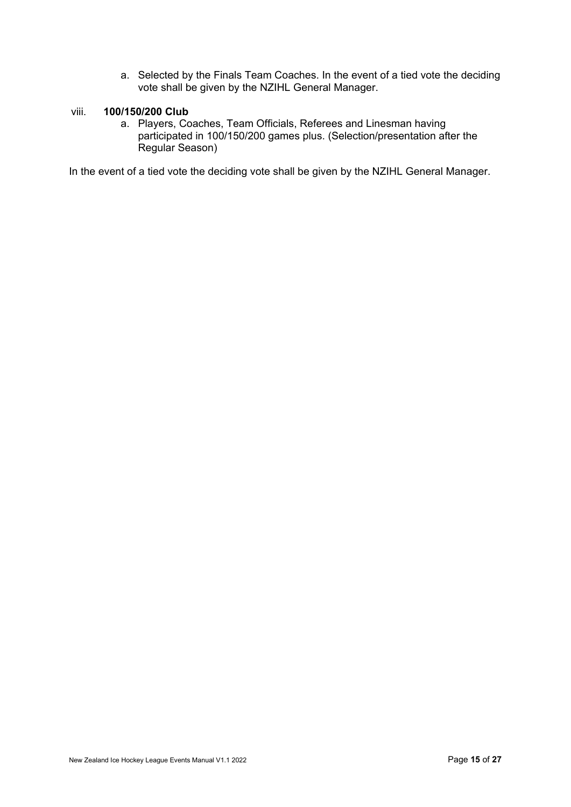a. Selected by the Finals Team Coaches. In the event of a tied vote the deciding vote shall be given by the NZIHL General Manager.

#### viii. **100/150/200 Club**

a. Players, Coaches, Team Officials, Referees and Linesman having participated in 100/150/200 games plus. (Selection/presentation after the Regular Season)

In the event of a tied vote the deciding vote shall be given by the NZIHL General Manager.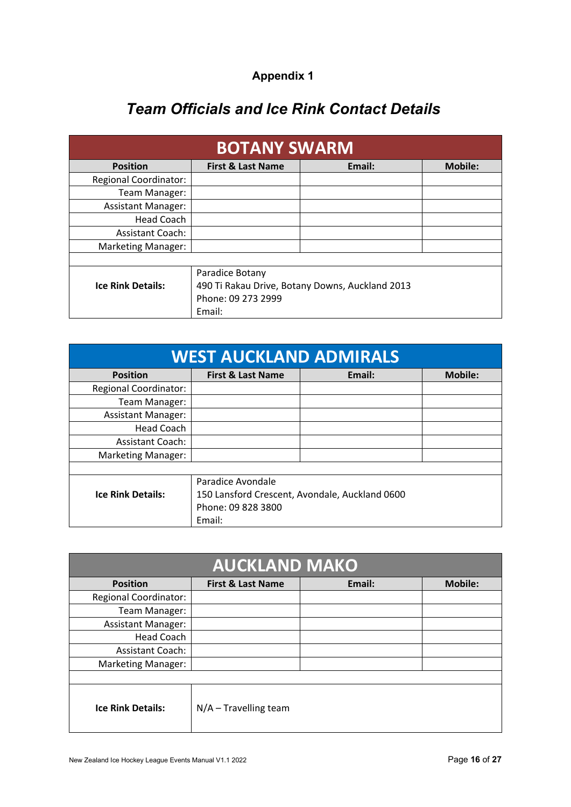| <b>Appendix 1</b> |  |
|-------------------|--|
|                   |  |

### *Team Officials and Ice Rink Contact Details*

<span id="page-15-0"></span>

| <b>BOTANY SWARM</b>          |                              |                                                 |                |
|------------------------------|------------------------------|-------------------------------------------------|----------------|
| <b>Position</b>              | <b>First &amp; Last Name</b> | Email:                                          | <b>Mobile:</b> |
| <b>Regional Coordinator:</b> |                              |                                                 |                |
| Team Manager:                |                              |                                                 |                |
| <b>Assistant Manager:</b>    |                              |                                                 |                |
| Head Coach                   |                              |                                                 |                |
| <b>Assistant Coach:</b>      |                              |                                                 |                |
| <b>Marketing Manager:</b>    |                              |                                                 |                |
|                              |                              |                                                 |                |
|                              | Paradice Botany              |                                                 |                |
| <b>Ice Rink Details:</b>     |                              | 490 Ti Rakau Drive, Botany Downs, Auckland 2013 |                |
|                              | Phone: 09 273 2999           |                                                 |                |
|                              | Email:                       |                                                 |                |

| <b>WEST AUCKLAND ADMIRALS</b> |                              |                                                |                |
|-------------------------------|------------------------------|------------------------------------------------|----------------|
| <b>Position</b>               | <b>First &amp; Last Name</b> | Email:                                         | <b>Mobile:</b> |
| <b>Regional Coordinator:</b>  |                              |                                                |                |
| Team Manager:                 |                              |                                                |                |
| <b>Assistant Manager:</b>     |                              |                                                |                |
| <b>Head Coach</b>             |                              |                                                |                |
| <b>Assistant Coach:</b>       |                              |                                                |                |
| <b>Marketing Manager:</b>     |                              |                                                |                |
|                               |                              |                                                |                |
|                               | Paradice Avondale            |                                                |                |
| <b>Ice Rink Details:</b>      |                              | 150 Lansford Crescent, Avondale, Auckland 0600 |                |
|                               | Phone: 09 828 3800           |                                                |                |
|                               | Email:                       |                                                |                |

|                              | <b>AUCKLAND MAKO</b>         |        |                |
|------------------------------|------------------------------|--------|----------------|
| <b>Position</b>              | <b>First &amp; Last Name</b> | Email: | <b>Mobile:</b> |
| <b>Regional Coordinator:</b> |                              |        |                |
| Team Manager:                |                              |        |                |
| <b>Assistant Manager:</b>    |                              |        |                |
| Head Coach                   |                              |        |                |
| <b>Assistant Coach:</b>      |                              |        |                |
| <b>Marketing Manager:</b>    |                              |        |                |
|                              |                              |        |                |
| <b>Ice Rink Details:</b>     | $N/A$ – Travelling team      |        |                |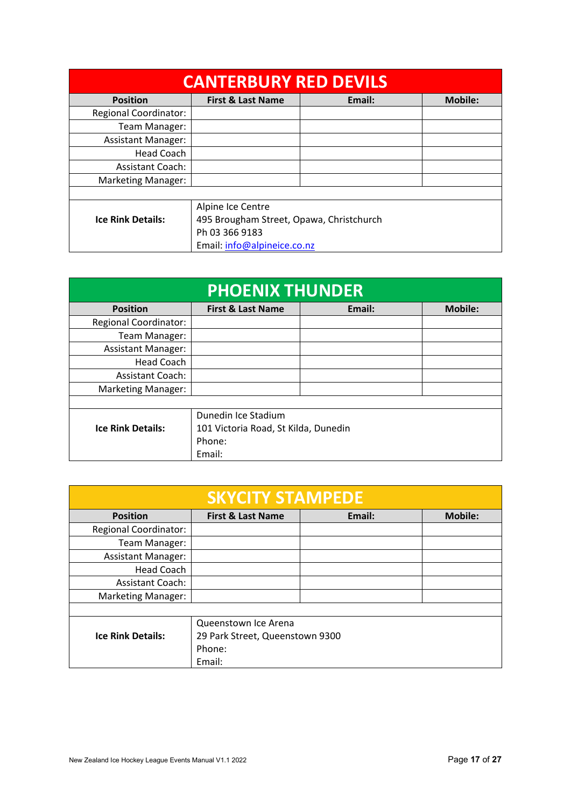| <b>CANTERBURY RED DEVILS</b> |                                          |        |                |
|------------------------------|------------------------------------------|--------|----------------|
| <b>Position</b>              | First & Last Name                        | Email: | <b>Mobile:</b> |
| <b>Regional Coordinator:</b> |                                          |        |                |
| Team Manager:                |                                          |        |                |
| <b>Assistant Manager:</b>    |                                          |        |                |
| Head Coach                   |                                          |        |                |
| <b>Assistant Coach:</b>      |                                          |        |                |
| <b>Marketing Manager:</b>    |                                          |        |                |
|                              |                                          |        |                |
|                              | Alpine Ice Centre                        |        |                |
| <b>Ice Rink Details:</b>     | 495 Brougham Street, Opawa, Christchurch |        |                |
|                              | Ph 03 366 9183                           |        |                |
|                              | Email: info@alpineice.co.nz              |        |                |

| <b>PHOENIX THUNDER</b>       |                                      |        |                |
|------------------------------|--------------------------------------|--------|----------------|
| <b>Position</b>              | <b>First &amp; Last Name</b>         | Email: | <b>Mobile:</b> |
| <b>Regional Coordinator:</b> |                                      |        |                |
| Team Manager:                |                                      |        |                |
| <b>Assistant Manager:</b>    |                                      |        |                |
| <b>Head Coach</b>            |                                      |        |                |
| <b>Assistant Coach:</b>      |                                      |        |                |
| Marketing Manager:           |                                      |        |                |
|                              |                                      |        |                |
|                              | Dunedin Ice Stadium                  |        |                |
| <b>Ice Rink Details:</b>     | 101 Victoria Road, St Kilda, Dunedin |        |                |
|                              | Phone:                               |        |                |
|                              | Email:                               |        |                |

| <b>SKYCITY STAMPEDE</b>      |                                 |        |                |
|------------------------------|---------------------------------|--------|----------------|
| <b>Position</b>              | <b>First &amp; Last Name</b>    | Email: | <b>Mobile:</b> |
| <b>Regional Coordinator:</b> |                                 |        |                |
| Team Manager:                |                                 |        |                |
| <b>Assistant Manager:</b>    |                                 |        |                |
| <b>Head Coach</b>            |                                 |        |                |
| <b>Assistant Coach:</b>      |                                 |        |                |
| Marketing Manager:           |                                 |        |                |
|                              |                                 |        |                |
|                              | Queenstown Ice Arena            |        |                |
| <b>Ice Rink Details:</b>     | 29 Park Street, Queenstown 9300 |        |                |
|                              | Phone:                          |        |                |
|                              | Email:                          |        |                |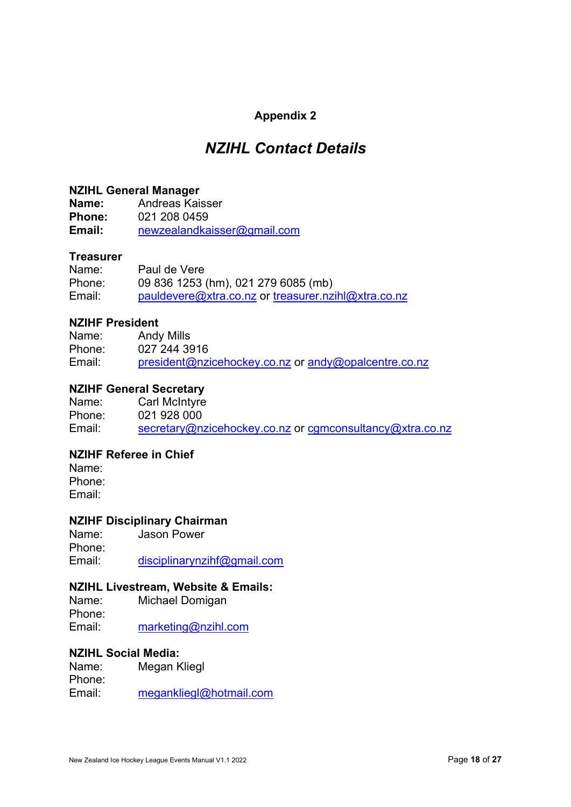#### **Appendix 2**

### *NZIHL Contact Details*

#### <span id="page-17-0"></span>**NZIHL General Manager**

**Name:** Andreas Kaisser<br>**Phone:** 021 208 0459 **Phone:** 021 208 0459 **Email:** [newzealandkaisser@gmail.com](mailto:newzealandkaisser@gmail.com) 

#### **Treasurer**

Name: Paul de Vere Phone: 09 836 1253 (hm), 021 279 6085 (mb) Email: [pauldevere@xtra.co.nz](mailto:pauldevere@xtra.co.nz) or treasurer.nzihl@xtra.co.nz

#### **NZIHF President**

Name: Andy Mills Phone: 027 244 3916 Email: [president@nzicehockey.co.nz](mailto:president@nzicehockey.co.nz) or [andy@opalcentre.co.nz](mailto:andy@opalcentre.co.nz)

#### **NZIHF General Secretary**

Name: Carl McIntyre Phone: 021 928 000 Email: [secretary@nzicehockey.co.nz](mailto:secretary@nzicehockey.co.nz) or cgmconsultancy@xtra.co.nz

#### **NZIHF Referee in Chief**

Name: Phone: Email:

#### **NZIHF Disciplinary Chairman**

Name: Jason Power Phone: Email: [disciplinarynzihf@gmail.com](mailto:disciplinarynzihf@gmail.com) 

#### **NZIHL Livestream, Website & Emails:**

Name: Michael Domigan Phone: Email: [marketing@nzihl.com](mailto:marketing@nzihl.com) 

# **NZIHL Social Media:**

Megan Kliegl Phone: Email: [megankliegl@hotmail.com](mailto:megankliegl@hotmail.com)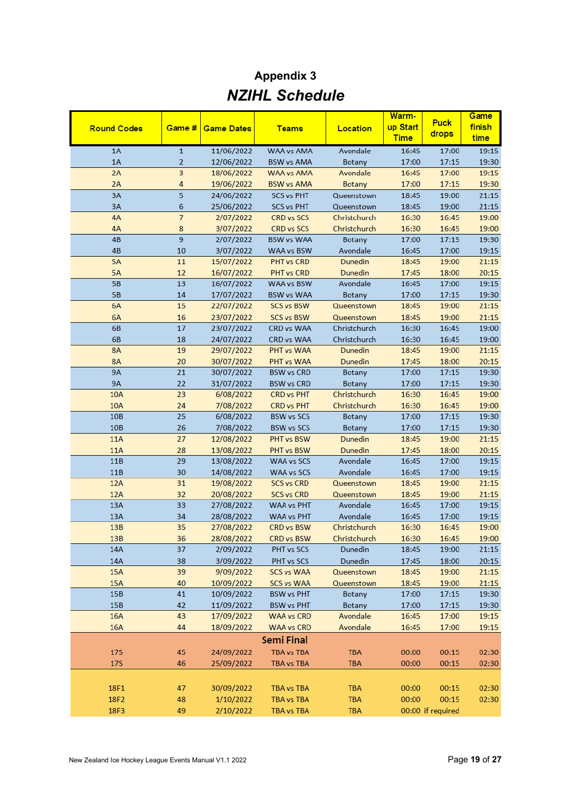### **Appendix 3** *NZIHL Schedule*

<span id="page-18-0"></span>

|                    |                |                          |                   |                    | Warm-                   | <b>Puck</b>       | Game           |
|--------------------|----------------|--------------------------|-------------------|--------------------|-------------------------|-------------------|----------------|
| <b>Round Codes</b> | Game #         | <b>Game Dates</b>        | <b>Teams</b>      | Location           | up Start<br><b>Time</b> | drops             | finish<br>time |
| 1A                 | $\mathbf{1}$   | 11/06/2022               | <b>WAA vs AMA</b> | Avondale           | 16:45                   | 17:00             | 19:15          |
| 1A                 | $\overline{2}$ | 12/06/2022               | <b>BSW vs AMA</b> | Botany             | 17:00                   | 17:15             | 19:30          |
| 2A                 | 3              | 18/06/2022               | <b>WAA vs AMA</b> | Avondale           | 16:45                   | 17:00             | 19:15          |
| 2A                 | 4              | 19/06/2022               | <b>BSW vs AMA</b> | <b>Botany</b>      | 17:00                   | 17:15             | 19:30          |
| 3A                 | 5              | 24/06/2022               | <b>SCS vs PHT</b> | Queenstown         | 18:45                   | 19:00             | 21:15          |
| 3A                 | 6              | 25/06/2022               | <b>SCS vs PHT</b> | Queenstown         | 18:45                   | 19:00             | 21:15          |
| 4A                 | $\overline{7}$ | 2/07/2022                | CRD vs SCS        | Christchurch       | 16:30                   | 16:45             | 19:00          |
| 4A                 | 8              | 3/07/2022                | CRD vs SCS        | Christchurch       | 16:30                   | 16:45             | 19:00          |
| 4B                 | 9              | 2/07/2022                | <b>BSW vs WAA</b> | Botany             | 17:00                   | 17:15             | 19:30          |
| 4B                 | 10             | 3/07/2022                | WAA vs BSW        | Avondale           | 16:45                   | 17:00             | 19:15          |
| <b>5A</b>          | 11             | 15/07/2022               | PHT vs CRD        | Dunedin            | 18:45                   | 19:00             | 21:15          |
| <b>5A</b>          | 12             | 16/07/2022               | PHT vs CRD        | Dunedin            | 17:45                   | 18:00             | 20:15          |
| <b>5B</b>          | 13             | 16/07/2022               | WAA vs BSW        | Avondale           | 16:45                   | 17:00             | 19:15          |
| <b>5B</b>          | 14             | 17/07/2022               | <b>BSW vs WAA</b> | <b>Botany</b>      | 17:00                   | 17:15             | 19:30          |
| 6A                 | 15             | 22/07/2022               | <b>SCS vs BSW</b> | Queenstown         | 18:45                   | 19:00             | 21:15          |
| 6A                 | 16             | 23/07/2022               | <b>SCS vs BSW</b> | Queenstown         | 18:45                   | 19:00             | 21:15          |
| 6B                 | 17             | 23/07/2022               | CRD vs WAA        | Christchurch       | 16:30                   | 16:45             | 19:00          |
| 6B                 | 18             | 24/07/2022               | CRD vs WAA        | Christchurch       | 16:30                   | 16:45             | 19:00          |
| <b>8A</b>          | 19             | 29/07/2022               | PHT vs WAA        | <b>Dunedin</b>     | 18:45                   | 19:00             | 21:15          |
| <b>8A</b>          | 20             | 30/07/2022               | PHT vs WAA        | Dunedin            | 17:45                   | 18:00             | 20:15          |
| <b>9A</b>          | 21             | 30/07/2022               | <b>BSW vs CRD</b> | Botany             | 17:00                   | 17:15             | 19:30          |
| <b>9A</b>          | 22             | 31/07/2022               | <b>BSW vs CRD</b> | <b>Botany</b>      | 17:00                   | 17:15             | 19:30          |
| <b>10A</b>         | 23             | 6/08/2022                | <b>CRD vs PHT</b> | Christchurch       | 16:30                   | 16:45             | 19:00          |
| 10A                | 24             | 7/08/2022                | <b>CRD vs PHT</b> | Christchurch       | 16:30                   | 16:45             | 19:00          |
| <b>10B</b>         | 25             | 6/08/2022                | <b>BSW vs SCS</b> | <b>Botany</b>      | 17:00                   | 17:15             | 19:30          |
| 10B                | 26             | 7/08/2022                | <b>BSW vs SCS</b> | <b>Botany</b>      | 17:00                   | 17:15             | 19:30          |
| <b>11A</b>         | 27             | 12/08/2022               | PHT vs BSW        | Dunedin            | 18:45                   | 19:00             | 21:15          |
| <b>11A</b>         | 28             | 13/08/2022               | PHT vs BSW        | Dunedin            | 17:45                   | 18:00             | 20:15          |
| 11B                | 29             | 13/08/2022               | <b>WAA vs SCS</b> | Avondale           | 16:45                   | 17:00             | 19:15          |
| 11B                | 30             | 14/08/2022               | WAA vs SCS        | Avondale           | 16:45                   | 17:00             | 19:15          |
| 12A                | 31             | 19/08/2022               | <b>SCS vs CRD</b> | Queenstown         | 18:45                   | 19:00             | 21:15          |
| 12A                | 32             | 20/08/2022               | <b>SCS vs CRD</b> | Queenstown         | 18:45                   | 19:00             | 21:15          |
| 13A                | 33             | 27/08/2022               | <b>WAA vs PHT</b> | Avondale           | 16:45                   | 17:00             | 19:15          |
| 13A                | 34             | 28/08/2022               | <b>WAA vs PHT</b> | Avondale           | 16:45                   | 17:00             | 19:15          |
| 13B                | 35             | 27/08/2022               | <b>CRD vs BSW</b> | Christchurch       | 16:30                   | 16:45             | 19:00          |
| 13B                | 36             | 28/08/2022               | CRD vs BSW        | Christchurch       | 16:30                   | 16:45             | 19:00          |
| 14A                | 37             | 2/09/2022                | PHT vs SCS        | Dunedin            | 18:45                   | 19:00             | 21:15          |
| 14A                | 38             | 3/09/2022                | PHT vs SCS        | Dunedin            | 17:45                   | 18:00             | 20:15          |
| 15A                | 39             | 9/09/2022                | <b>SCS vs WAA</b> | Queenstown         | 18:45                   | 19:00             | 21:15          |
| 15A                | 40             | 10/09/2022               | <b>SCS vs WAA</b> | Queenstown         | 18:45                   | 19:00             | 21:15          |
| 15B                | 41             | 10/09/2022               | <b>BSW vs PHT</b> | <b>Botany</b>      | 17:00                   | 17:15             | 19:30          |
| 15B                | 42             | 11/09/2022<br>17/09/2022 | <b>BSW vs PHT</b> | Botany<br>Avondale | 17:00                   | 17:15             | 19:30          |
| <b>16A</b>         | 43             | 18/09/2022               | <b>WAA vs CRD</b> |                    | 16:45                   | 17:00             | 19:15          |
| <b>16A</b>         | 44             |                          | <b>WAA vs CRD</b> | Avondale           | 16:45                   | 17:00             | 19:15          |
|                    |                |                          | <b>Semi Final</b> |                    |                         |                   |                |
| <b>17S</b>         | 45             | 24/09/2022               | TBA vs TBA        | <b>TBA</b>         | 00:00                   | 00:15             | 02:30          |
| 17S                | 46             | 25/09/2022               | TBA vs TBA        | <b>TBA</b>         | 00:00                   | 00:15             | 02:30          |
|                    |                |                          |                   |                    |                         |                   |                |
| 18F1               | 47             | 30/09/2022               | TBA vs TBA        | <b>TBA</b>         | 00:00                   | 00:15             | 02:30          |
| 18F2               | 48             | 1/10/2022                | TBA vs TBA        | <b>TBA</b>         | 00:00                   | 00:15             | 02:30          |
| 18F3               | 49             | 2/10/2022                | TBA vs TBA        | <b>TBA</b>         |                         | 00:00 if required |                |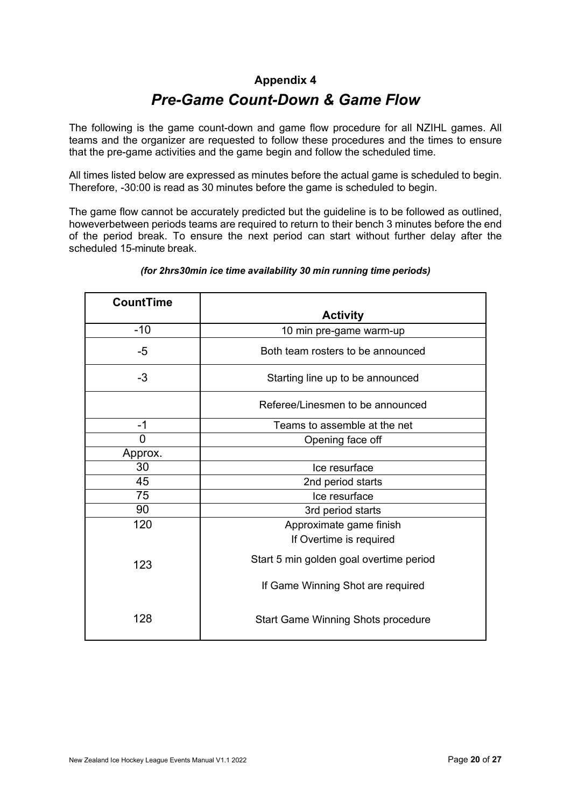#### **Appendix 4**

### *Pre-Game Count-Down & Game Flow*

<span id="page-19-0"></span>The following is the game count-down and game flow procedure for all NZIHL games. All teams and the organizer are requested to follow these procedures and the times to ensure that the pre-game activities and the game begin and follow the scheduled time.

All times listed below are expressed as minutes before the actual game is scheduled to begin. Therefore, -30:00 is read as 30 minutes before the game is scheduled to begin.

The game flow cannot be accurately predicted but the guideline is to be followed as outlined, howeverbetween periods teams are required to return to their bench 3 minutes before the end of the period break. To ensure the next period can start without further delay after the scheduled 15-minute break.

| <b>CountTime</b> |                                           |
|------------------|-------------------------------------------|
|                  | <b>Activity</b>                           |
| $-10$            | 10 min pre-game warm-up                   |
| $-5$             | Both team rosters to be announced         |
| $-3$             | Starting line up to be announced          |
|                  | Referee/Linesmen to be announced          |
| $-1$             | Teams to assemble at the net              |
| 0                | Opening face off                          |
| Approx.          |                                           |
| 30               | Ice resurface                             |
| 45               | 2nd period starts                         |
| 75               | Ice resurface                             |
| 90               | 3rd period starts                         |
| 120              | Approximate game finish                   |
|                  | If Overtime is required                   |
| 123              | Start 5 min golden goal overtime period   |
|                  | If Game Winning Shot are required         |
| 128              | <b>Start Game Winning Shots procedure</b> |

#### *(for 2hrs30min ice time availability 30 min running time periods)*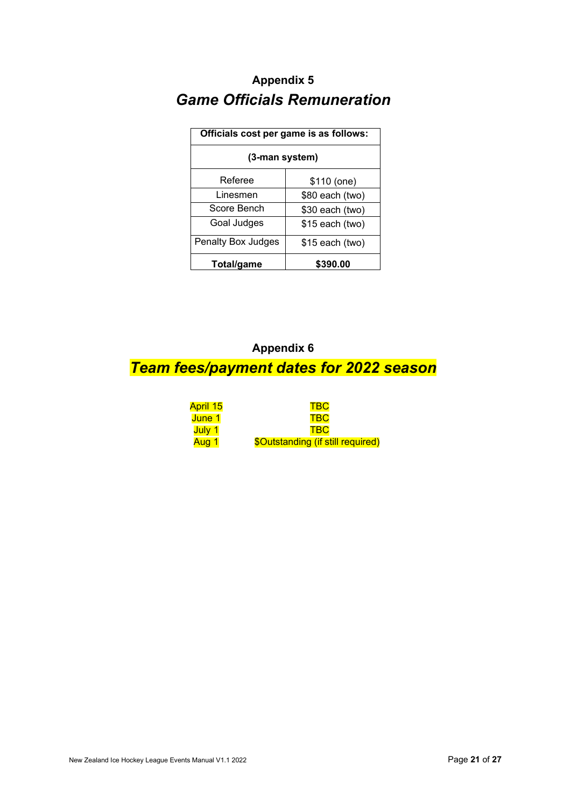### <span id="page-20-0"></span>**Appendix 5**  *Game Officials Remuneration*

| Officials cost per game is as follows: |                  |  |
|----------------------------------------|------------------|--|
| (3-man system)                         |                  |  |
| Referee                                | \$110 (one)      |  |
| Linesmen                               | \$80 each (two)  |  |
| Score Bench                            | $$30$ each (two) |  |
| Goal Judges                            | $$15$ each (two) |  |
| Penalty Box Judges                     | $$15$ each (two) |  |
| Total/game                             | \$390.00         |  |

### <span id="page-20-1"></span>**Appendix 6**  *Team fees/payment dates for 2022 season*

| April 15 | <b>TBC</b>                        |
|----------|-----------------------------------|
| June 1   | <b>TBC</b>                        |
| July 1   | <b>TRC</b>                        |
| Aug 1    | \$Outstanding (if still required) |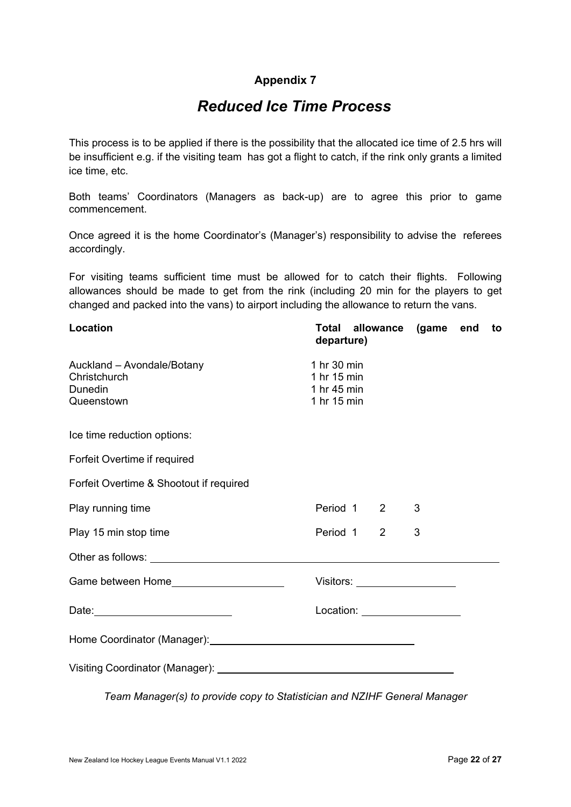#### **Appendix 7**

### *Reduced Ice Time Process*

<span id="page-21-0"></span>This process is to be applied if there is the possibility that the allocated ice time of 2.5 hrs will be insufficient e.g. if the visiting team has got a flight to catch, if the rink only grants a limited ice time, etc.

Both teams' Coordinators (Managers as back-up) are to agree this prior to game commencement.

Once agreed it is the home Coordinator's (Manager's) responsibility to advise the referees accordingly.

For visiting teams sufficient time must be allowed for to catch their flights. Following allowances should be made to get from the rink (including 20 min for the players to get changed and packed into the vans) to airport including the allowance to return the vans.

| <b>Location</b>                                                                                                                                                                                                               | Total allowance (game<br>departure)                      |   | end | to |
|-------------------------------------------------------------------------------------------------------------------------------------------------------------------------------------------------------------------------------|----------------------------------------------------------|---|-----|----|
| Auckland - Avondale/Botany<br>Christchurch<br>Dunedin<br>Queenstown                                                                                                                                                           | 1 hr 30 min<br>1 hr 15 min<br>1 hr 45 min<br>1 hr 15 min |   |     |    |
| Ice time reduction options:                                                                                                                                                                                                   |                                                          |   |     |    |
| Forfeit Overtime if required                                                                                                                                                                                                  |                                                          |   |     |    |
| Forfeit Overtime & Shootout if required                                                                                                                                                                                       |                                                          |   |     |    |
| Play running time                                                                                                                                                                                                             | Period 1 2                                               | 3 |     |    |
| Play 15 min stop time                                                                                                                                                                                                         | Period 1<br>2                                            | 3 |     |    |
| Other as follows: example and the state of the state of the state of the state of the state of the state of the state of the state of the state of the state of the state of the state of the state of the state of the state |                                                          |   |     |    |
|                                                                                                                                                                                                                               | Visitors: ____________________                           |   |     |    |
|                                                                                                                                                                                                                               | Location: ___________________                            |   |     |    |
|                                                                                                                                                                                                                               |                                                          |   |     |    |
|                                                                                                                                                                                                                               |                                                          |   |     |    |

*Team Manager(s) to provide copy to Statistician and NZIHF General Manager*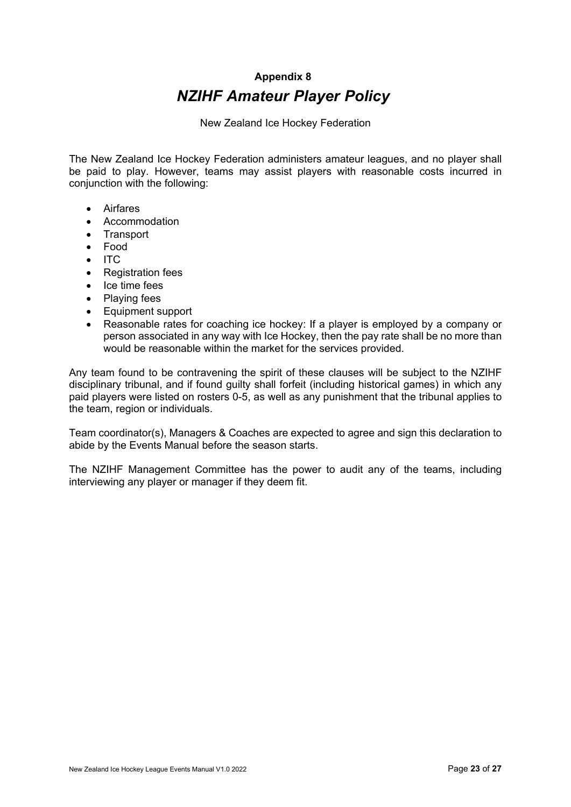### **Appendix 8** *NZIHF Amateur Player Policy*

New Zealand Ice Hockey Federation

<span id="page-22-0"></span>The New Zealand Ice Hockey Federation administers amateur leagues, and no player shall be paid to play. However, teams may assist players with reasonable costs incurred in conjunction with the following:

- Airfares
- Accommodation
- Transport
- Food
- ITC
- Registration fees
- Ice time fees
- Playing fees
- Equipment support
- Reasonable rates for coaching ice hockey: If a player is employed by a company or person associated in any way with Ice Hockey, then the pay rate shall be no more than would be reasonable within the market for the services provided.

Any team found to be contravening the spirit of these clauses will be subject to the NZIHF disciplinary tribunal, and if found guilty shall forfeit (including historical games) in which any paid players were listed on rosters 0-5, as well as any punishment that the tribunal applies to the team, region or individuals.

Team coordinator(s), Managers & Coaches are expected to agree and sign this declaration to abide by the Events Manual before the season starts.

The NZIHF Management Committee has the power to audit any of the teams, including interviewing any player or manager if they deem fit.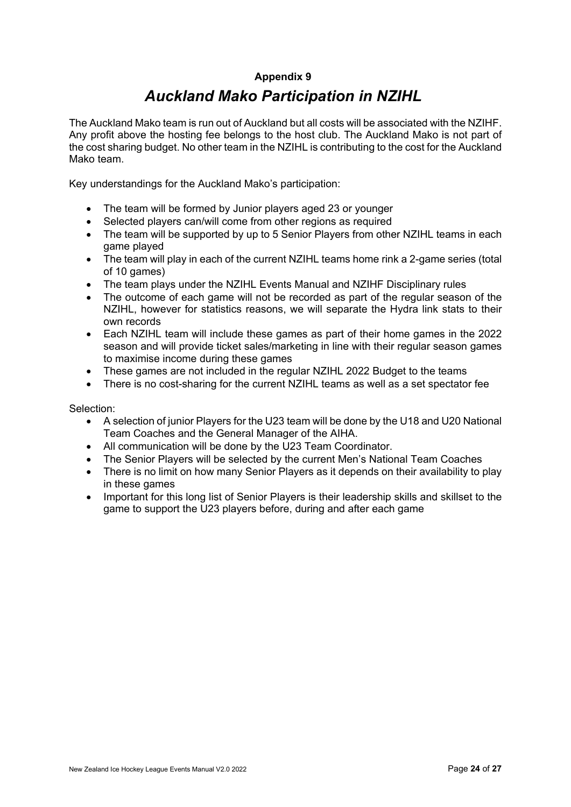#### **Appendix 9**

### *Auckland Mako Participation in NZIHL*

<span id="page-23-0"></span>The Auckland Mako team is run out of Auckland but all costs will be associated with the NZIHF. Any profit above the hosting fee belongs to the host club. The Auckland Mako is not part of the cost sharing budget. No other team in the NZIHL is contributing to the cost for the Auckland Mako team.

Key understandings for the Auckland Mako's participation:

- The team will be formed by Junior players aged 23 or younger
- Selected players can/will come from other regions as required
- The team will be supported by up to 5 Senior Players from other NZIHL teams in each game played
- The team will play in each of the current NZIHL teams home rink a 2-game series (total of 10 games)
- The team plays under the NZIHL Events Manual and NZIHF Disciplinary rules
- The outcome of each game will not be recorded as part of the regular season of the NZIHL, however for statistics reasons, we will separate the Hydra link stats to their own records
- Each NZIHL team will include these games as part of their home games in the 2022 season and will provide ticket sales/marketing in line with their regular season games to maximise income during these games
- These games are not included in the regular NZIHL 2022 Budget to the teams
- There is no cost-sharing for the current NZIHL teams as well as a set spectator fee

Selection:

- A selection of junior Players for the U23 team will be done by the U18 and U20 National Team Coaches and the General Manager of the AIHA.
- All communication will be done by the U23 Team Coordinator.
- The Senior Players will be selected by the current Men's National Team Coaches
- There is no limit on how many Senior Players as it depends on their availability to play in these games
- Important for this long list of Senior Players is their leadership skills and skillset to the game to support the U23 players before, during and after each game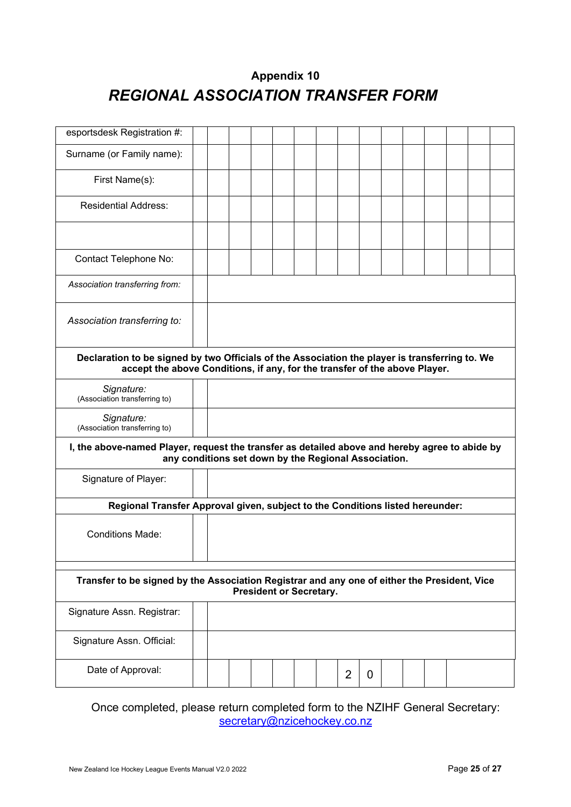### **Appendix 10**  *REGIONAL ASSOCIATION TRANSFER FORM*

<span id="page-24-0"></span>

| esportsdesk Registration #:                                                                                                                                                  |  |  |  |  |  |  |  |                |   |  |  |  |
|------------------------------------------------------------------------------------------------------------------------------------------------------------------------------|--|--|--|--|--|--|--|----------------|---|--|--|--|
| Surname (or Family name):                                                                                                                                                    |  |  |  |  |  |  |  |                |   |  |  |  |
| First Name(s):                                                                                                                                                               |  |  |  |  |  |  |  |                |   |  |  |  |
| <b>Residential Address:</b>                                                                                                                                                  |  |  |  |  |  |  |  |                |   |  |  |  |
|                                                                                                                                                                              |  |  |  |  |  |  |  |                |   |  |  |  |
| Contact Telephone No:                                                                                                                                                        |  |  |  |  |  |  |  |                |   |  |  |  |
| Association transferring from:                                                                                                                                               |  |  |  |  |  |  |  |                |   |  |  |  |
| Association transferring to:                                                                                                                                                 |  |  |  |  |  |  |  |                |   |  |  |  |
| Declaration to be signed by two Officials of the Association the player is transferring to. We<br>accept the above Conditions, if any, for the transfer of the above Player. |  |  |  |  |  |  |  |                |   |  |  |  |
| Signature:<br>(Association transferring to)                                                                                                                                  |  |  |  |  |  |  |  |                |   |  |  |  |
| Signature:<br>(Association transferring to)                                                                                                                                  |  |  |  |  |  |  |  |                |   |  |  |  |
| I, the above-named Player, request the transfer as detailed above and hereby agree to abide by<br>any conditions set down by the Regional Association.                       |  |  |  |  |  |  |  |                |   |  |  |  |
| Signature of Player:                                                                                                                                                         |  |  |  |  |  |  |  |                |   |  |  |  |
| Regional Transfer Approval given, subject to the Conditions listed hereunder:                                                                                                |  |  |  |  |  |  |  |                |   |  |  |  |
| <b>Conditions Made:</b>                                                                                                                                                      |  |  |  |  |  |  |  |                |   |  |  |  |
| Transfer to be signed by the Association Registrar and any one of either the President, Vice<br><b>President or Secretary.</b>                                               |  |  |  |  |  |  |  |                |   |  |  |  |
| Signature Assn. Registrar:                                                                                                                                                   |  |  |  |  |  |  |  |                |   |  |  |  |
| Signature Assn. Official:                                                                                                                                                    |  |  |  |  |  |  |  |                |   |  |  |  |
| Date of Approval:                                                                                                                                                            |  |  |  |  |  |  |  | $\overline{2}$ | 0 |  |  |  |

Once completed, please return completed form to the NZIHF General Secretary: secretary@nzicehockey.co.nz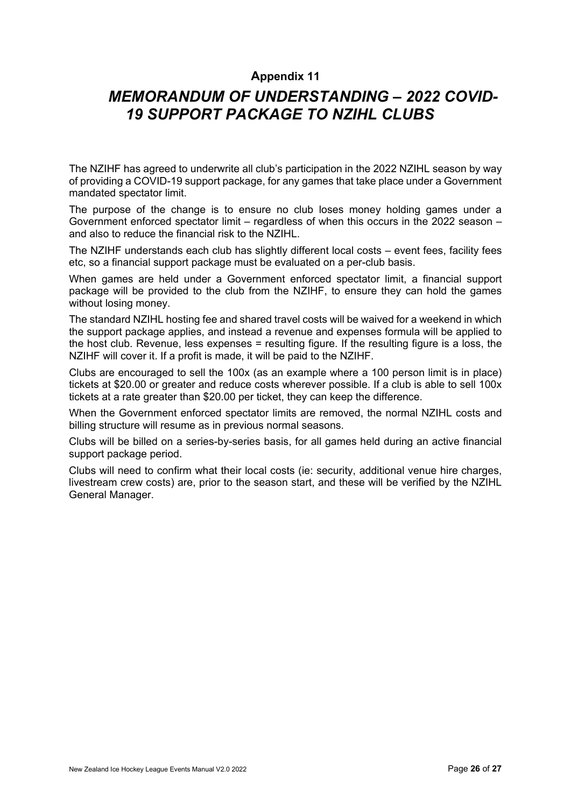#### **Appendix 11**

### <span id="page-25-0"></span>*MEMORANDUM OF UNDERSTANDING – 2022 COVID-19 SUPPORT PACKAGE TO NZIHL CLUBS*

The NZIHF has agreed to underwrite all club's participation in the 2022 NZIHL season by way of providing a COVID-19 support package, for any games that take place under a Government mandated spectator limit.

The purpose of the change is to ensure no club loses money holding games under a Government enforced spectator limit – regardless of when this occurs in the 2022 season – and also to reduce the financial risk to the NZIHL.

The NZIHF understands each club has slightly different local costs – event fees, facility fees etc, so a financial support package must be evaluated on a per-club basis.

When games are held under a Government enforced spectator limit, a financial support package will be provided to the club from the NZIHF, to ensure they can hold the games without losing money.

The standard NZIHL hosting fee and shared travel costs will be waived for a weekend in which the support package applies, and instead a revenue and expenses formula will be applied to the host club. Revenue, less expenses = resulting figure. If the resulting figure is a loss, the NZIHF will cover it. If a profit is made, it will be paid to the NZIHF.

Clubs are encouraged to sell the 100x (as an example where a 100 person limit is in place) tickets at \$20.00 or greater and reduce costs wherever possible. If a club is able to sell 100x tickets at a rate greater than \$20.00 per ticket, they can keep the difference.

When the Government enforced spectator limits are removed, the normal NZIHL costs and billing structure will resume as in previous normal seasons.

Clubs will be billed on a series-by-series basis, for all games held during an active financial support package period.

Clubs will need to confirm what their local costs (ie: security, additional venue hire charges, livestream crew costs) are, prior to the season start, and these will be verified by the NZIHL General Manager.